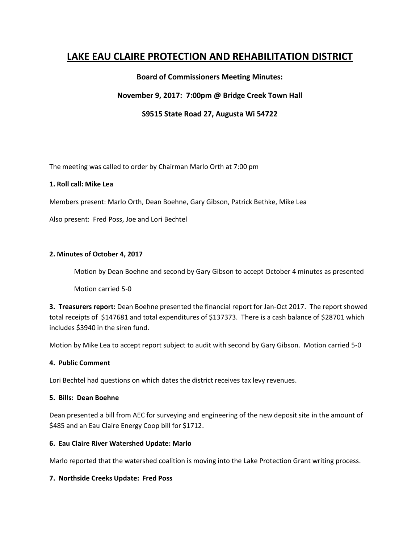# **LAKE EAU CLAIRE PROTECTION AND REHABILITATION DISTRICT**

# **Board of Commissioners Meeting Minutes:**

### **November 9, 2017: 7:00pm @ Bridge Creek Town Hall**

## **S9515 State Road 27, Augusta Wi 54722**

The meeting was called to order by Chairman Marlo Orth at 7:00 pm

#### **1. Roll call: Mike Lea**

Members present: Marlo Orth, Dean Boehne, Gary Gibson, Patrick Bethke, Mike Lea

Also present: Fred Poss, Joe and Lori Bechtel

#### **2. Minutes of October 4, 2017**

Motion by Dean Boehne and second by Gary Gibson to accept October 4 minutes as presented

Motion carried 5-0

**3. Treasurers report:** Dean Boehne presented the financial report for Jan-Oct 2017. The report showed total receipts of \$147681 and total expenditures of \$137373. There is a cash balance of \$28701 which includes \$3940 in the siren fund.

Motion by Mike Lea to accept report subject to audit with second by Gary Gibson. Motion carried 5-0

#### **4. Public Comment**

Lori Bechtel had questions on which dates the district receives tax levy revenues.

#### **5. Bills: Dean Boehne**

Dean presented a bill from AEC for surveying and engineering of the new deposit site in the amount of \$485 and an Eau Claire Energy Coop bill for \$1712.

#### **6. Eau Claire River Watershed Update: Marlo**

Marlo reported that the watershed coalition is moving into the Lake Protection Grant writing process.

#### **7. Northside Creeks Update: Fred Poss**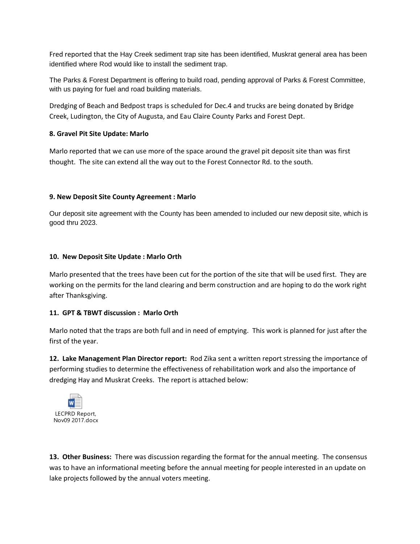Fred reported that the Hay Creek sediment trap site has been identified, Muskrat general area has been identified where Rod would like to install the sediment trap.

The Parks & Forest Department is offering to build road, pending approval of Parks & Forest Committee, with us paying for fuel and road building materials.

Dredging of Beach and Bedpost traps is scheduled for Dec.4 and trucks are being donated by Bridge Creek, Ludington, the City of Augusta, and Eau Claire County Parks and Forest Dept.

# **8. Gravel Pit Site Update: Marlo**

Marlo reported that we can use more of the space around the gravel pit deposit site than was first thought. The site can extend all the way out to the Forest Connector Rd. to the south.

## **9. New Deposit Site County Agreement : Marlo**

Our deposit site agreement with the County has been amended to included our new deposit site, which is good thru 2023.

## **10. New Deposit Site Update : Marlo Orth**

Marlo presented that the trees have been cut for the portion of the site that will be used first. They are working on the permits for the land clearing and berm construction and are hoping to do the work right after Thanksgiving.

# **11. GPT & TBWT discussion : Marlo Orth**

Marlo noted that the traps are both full and in need of emptying. This work is planned for just after the first of the year.

**12. Lake Management Plan Director report:** Rod Zika sent a written report stressing the importance of performing studies to determine the effectiveness of rehabilitation work and also the importance of dredging Hay and Muskrat Creeks. The report is attached below:



**13. Other Business:** There was discussion regarding the format for the annual meeting. The consensus was to have an informational meeting before the annual meeting for people interested in an update on lake projects followed by the annual voters meeting.